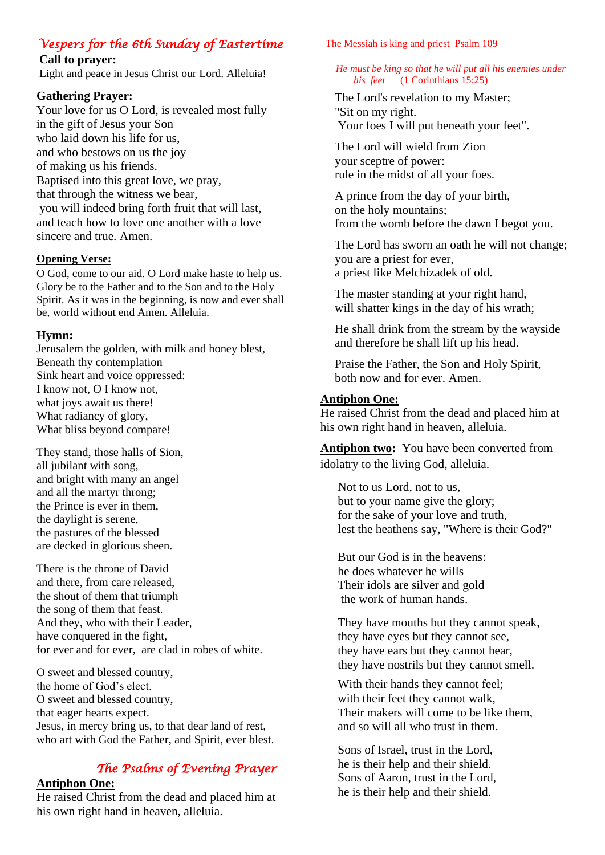# *Vespers for the 6th Sunday of Eastertime*

**Call to prayer:** 

Light and peace in Jesus Christ our Lord. Alleluia!

# **Gathering Prayer:**

Your love for us O Lord, is revealed most fully in the gift of Jesus your Son who laid down his life for us, and who bestows on us the joy of making us his friends. Baptised into this great love, we pray, that through the witness we bear, you will indeed bring forth fruit that will last, and teach how to love one another with a love sincere and true. Amen.

# **Opening Verse:**

O God, come to our aid. O Lord make haste to help us. Glory be to the Father and to the Son and to the Holy Spirit. As it was in the beginning, is now and ever shall be, world without end Amen. Alleluia.

# **Hymn:**

Jerusalem the golden, with milk and honey blest, Beneath thy contemplation Sink heart and voice oppressed: I know not, O I know not, what joys await us there! What radiancy of glory, What bliss beyond compare!

They stand, those halls of Sion, all jubilant with song, and bright with many an angel and all the martyr throng; the Prince is ever in them, the daylight is serene, the pastures of the blessed are decked in glorious sheen.

There is the throne of David and there, from care released, the shout of them that triumph the song of them that feast. And they, who with their Leader, have conquered in the fight, for ever and for ever, are clad in robes of white.

O sweet and blessed country, the home of God's elect. O sweet and blessed country, that eager hearts expect. Jesus, in mercy bring us, to that dear land of rest, who art with God the Father, and Spirit, ever blest.

# *The Psalms of Evening Prayer*

# **Antiphon One:**

He raised Christ from the dead and placed him at his own right hand in heaven, alleluia.

The Messiah is king and priest Psalm 109

#### *He must be king so that he will put all his enemies under his feet* (1 Corinthians 15:25)

The Lord's revelation to my Master; "Sit on my right. Your foes I will put beneath your feet".

The Lord will wield from Zion your sceptre of power: rule in the midst of all your foes.

A prince from the day of your birth, on the holy mountains; from the womb before the dawn I begot you.

The Lord has sworn an oath he will not change; you are a priest for ever, a priest like Melchizadek of old.

The master standing at your right hand, will shatter kings in the day of his wrath;

He shall drink from the stream by the wayside and therefore he shall lift up his head.

Praise the Father, the Son and Holy Spirit, both now and for ever. Amen.

# **Antiphon One:**

He raised Christ from the dead and placed him at his own right hand in heaven, alleluia.

Antiphon two: You have been converted from idolatry to the living God, alleluia.

Not to us Lord, not to us, but to your name give the glory; for the sake of your love and truth, lest the heathens say, "Where is their God?"

But our God is in the heavens: he does whatever he wills Their idols are silver and gold the work of human hands.

They have mouths but they cannot speak, they have eyes but they cannot see, they have ears but they cannot hear, they have nostrils but they cannot smell.

With their hands they cannot feel; with their feet they cannot walk, Their makers will come to be like them, and so will all who trust in them.

Sons of Israel, trust in the Lord, he is their help and their shield. Sons of Aaron, trust in the Lord, he is their help and their shield.